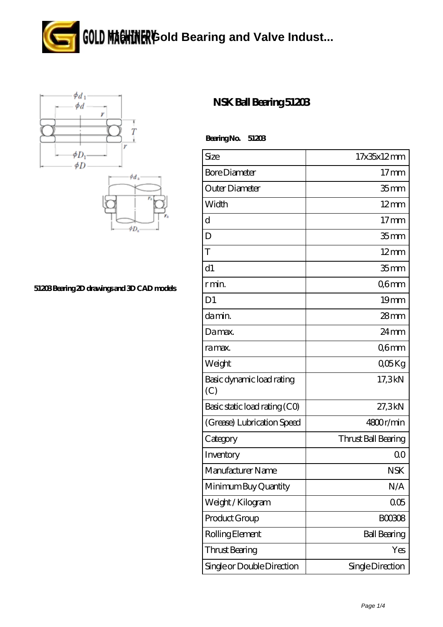**Tiangle GOLD MAGHLINER** GOLD **MAGHLINER** GOLD **Bearing** and Valve Indust...



## **[51203 Bearing 2D drawings and 3D CAD models](https://tjglmi.com/pic-64622055.html)**

## **[NSK Ball Bearing 51203](https://tjglmi.com/good-64622055-nsk-ball-bearing-51203.html)**

 **Bearing No. 51203**

| Size                             | 17x35x12mm          |
|----------------------------------|---------------------|
| <b>Bore Diameter</b>             | $17$ mm             |
| Outer Diameter                   | 35 mm               |
| Width                            | $12$ mm             |
| d                                | 17 <sub>mm</sub>    |
| D                                | 35 <sub>mm</sub>    |
| T                                | $12 \text{mm}$      |
| d1                               | 35 <sub>mm</sub>    |
| r min.                           | Q6mm                |
| D <sub>1</sub>                   | 19 <sub>mm</sub>    |
| da min.                          | 28mm                |
| Damax.                           | $24 \,\mathrm{mm}$  |
| ra max.                          | Q6mm                |
| Weight                           | QŒKg                |
| Basic dynamic load rating<br>(C) | 17,3kN              |
| Basic static load rating (CO)    | 27,3kN              |
| (Grease) Lubrication Speed       | 4800r/min           |
| Category                         | Thrust Ball Bearing |
| Inventory                        | 0 <sup>0</sup>      |
| Manufacturer Name                | NSK                 |
| Minimum Buy Quantity             | N/A                 |
| Weight / Kilogram                | 005                 |
| Product Group                    | <b>BOO3O8</b>       |
| Rolling Element                  | <b>Ball Bearing</b> |
| Thrust Bearing                   | Yes                 |
| Single or Double Direction       | Single Direction    |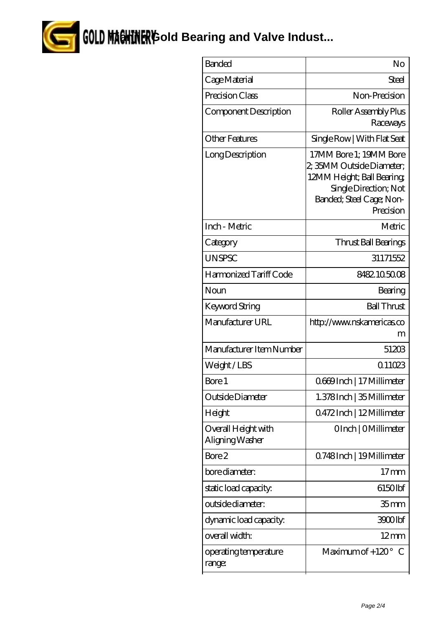

**Tiangle Gold MacHiller** Gold Bearing and Valve Indust...

| <b>Banded</b>                          | No                                                                                                                                                  |
|----------------------------------------|-----------------------------------------------------------------------------------------------------------------------------------------------------|
| Cage Material                          | Steel                                                                                                                                               |
| Precision Class                        | Non-Precision                                                                                                                                       |
| Component Description                  | Roller Assembly Plus<br>Raceways                                                                                                                    |
| <b>Other Features</b>                  | Single Row   With Flat Seat                                                                                                                         |
| Long Description                       | 17MM Bore 1; 19MM Bore<br>2, 35MM Outside Diameter;<br>12MM Height; Ball Bearing;<br>Single Direction; Not<br>Banded; Steel Cage; Non-<br>Precision |
| Inch - Metric                          | Metric                                                                                                                                              |
| Category                               | Thrust Ball Bearings                                                                                                                                |
| <b>UNSPSC</b>                          | 31171552                                                                                                                                            |
| Harmonized Tariff Code                 | 8482105008                                                                                                                                          |
| Noun                                   | Bearing                                                                                                                                             |
| Keyword String                         | <b>Ball Thrust</b>                                                                                                                                  |
| Manufacturer URL                       | http://www.nskamericas.co<br>m                                                                                                                      |
| Manufacturer Item Number               | 51203                                                                                                                                               |
| Weight/LBS                             | 0.11023                                                                                                                                             |
| Bore 1                                 | 0669Inch   17 Millimeter                                                                                                                            |
| Outside Diameter                       | 1.378Inch   35 Millimeter                                                                                                                           |
| Height                                 | 0.472Inch   12Millimeter                                                                                                                            |
| Overall Height with<br>Aligning Washer | OInch   OMillimeter                                                                                                                                 |
| Bore 2                                 | Q748Inch   19 Millimeter                                                                                                                            |
| bore diameter:                         | $17 \text{mm}$                                                                                                                                      |
| static load capacity.                  | 6150lbf                                                                                                                                             |
| outside diameter:                      | 35 mm                                                                                                                                               |
| dynamic load capacity:                 | 3900lbf                                                                                                                                             |
| overall width:                         | $12 \text{mm}$                                                                                                                                      |
| operating temperature<br>range:        | Maximum of $+120^{\circ}$ C                                                                                                                         |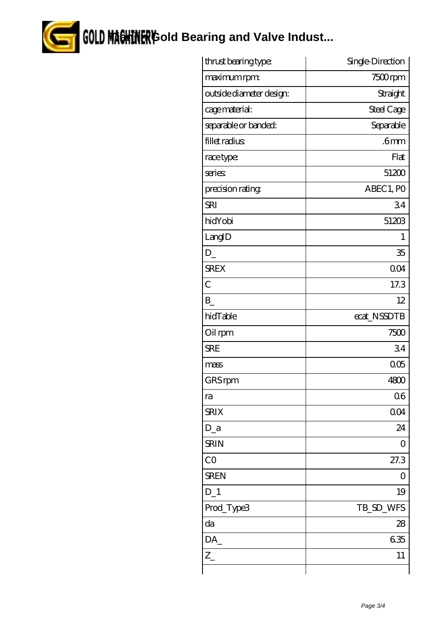

**COLD MAGHINER** GOLD MAGHINER GOLD MAGHINER GOLD MAGHINER GOLD MAGHINER GOLD BE BEEN BEEN ON BEEN ON BEEN ON A VALUE OF THE STATE OF STATES

| thrust bearing type:     | Single-Direction |
|--------------------------|------------------|
| maximum rpm:             | 7500rpm          |
| outside diameter design: | Straight         |
| cage material:           | Steel Cage       |
| separable or banded:     | Separable        |
| fillet radius            | .6 <sub>mm</sub> |
| race type:               | Flat             |
| series                   | 51200            |
| precision rating         | ABEC 1, PO       |
| <b>SRI</b>               | 34               |
| hidYobi                  | 51203            |
| LangID                   | 1                |
| D                        | 35               |
| <b>SREX</b>              | 0 <sub>O</sub> 4 |
| $\overline{C}$           | 17.3             |
| $\mathbf{B}$             | 12               |
| hidTable                 | ecat_NSSDTB      |
| Oil rpm                  | 7500             |
| <b>SRE</b>               | 34               |
| mass                     | 005              |
| GRS rpm                  | 4800             |
| ra                       | 06               |
| <b>SRIX</b>              | 004              |
| $D_a$                    | 24               |
| <b>SRIN</b>              | 0                |
| CO                       | 27.3             |
| <b>SREN</b>              | 0                |
| $D_1$                    | 19               |
| Prod_Type3               | TB_SD_WFS        |
| da                       | 28               |
| DA_                      | 635              |
| $\overline{Z_{-}}$       | 11               |
|                          |                  |